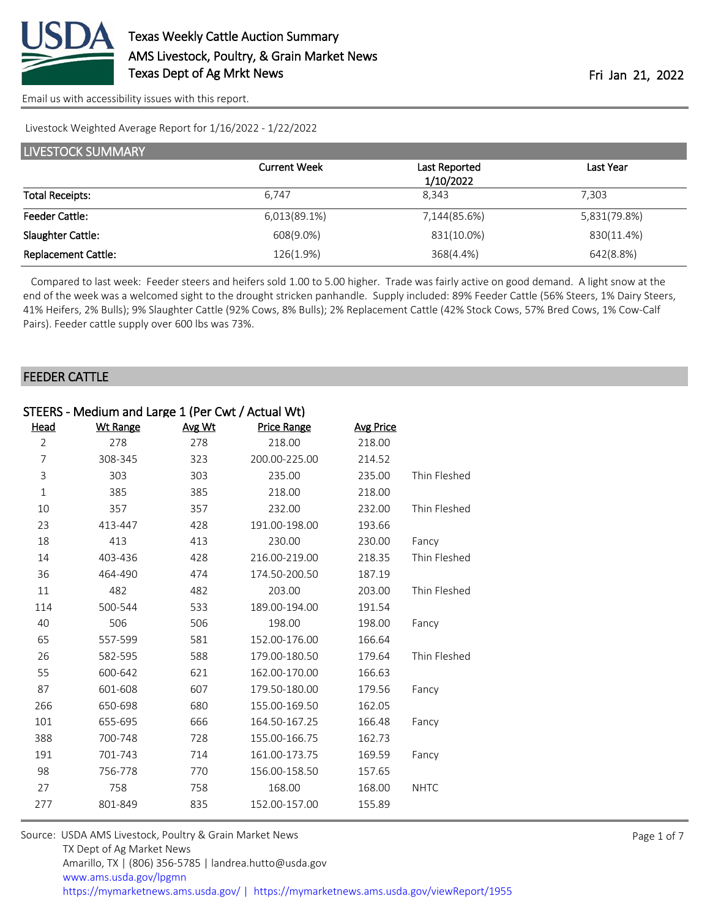

Livestock Weighted Average Report for 1/16/2022 - 1/22/2022

| <b>LIVESTOCK SUMMARY</b>   |                     |                            |              |  |  |  |
|----------------------------|---------------------|----------------------------|--------------|--|--|--|
|                            | <b>Current Week</b> | Last Reported<br>1/10/2022 | Last Year    |  |  |  |
| <b>Total Receipts:</b>     | 6.747               | 8.343                      | 7.303        |  |  |  |
|                            |                     |                            |              |  |  |  |
| <b>Feeder Cattle:</b>      | 6,013(89.1%)        | 7,144(85.6%)               | 5,831(79.8%) |  |  |  |
| Slaughter Cattle:          | 608(9.0%)           | 831(10.0%)                 | 830(11.4%)   |  |  |  |
| <b>Replacement Cattle:</b> | 126(1.9%)           | 368(4.4%)                  | 642(8.8%)    |  |  |  |

 Compared to last week: Feeder steers and heifers sold 1.00 to 5.00 higher. Trade was fairly active on good demand. A light snow at the end of the week was a welcomed sight to the drought stricken panhandle. Supply included: 89% Feeder Cattle (56% Steers, 1% Dairy Steers, 41% Heifers, 2% Bulls); 9% Slaughter Cattle (92% Cows, 8% Bulls); 2% Replacement Cattle (42% Stock Cows, 57% Bred Cows, 1% Cow-Calf Pairs). Feeder cattle supply over 600 lbs was 73%.

#### FEEDER CATTLE

| STEERS - Medium and Large 1 (Per Cwt / Actual Wt) |                 |        |                    |                  |              |
|---------------------------------------------------|-----------------|--------|--------------------|------------------|--------------|
| Head                                              | <b>Wt Range</b> | Avg Wt | <b>Price Range</b> | <b>Avg Price</b> |              |
| $\overline{2}$                                    | 278             | 278    | 218.00             | 218.00           |              |
| 7                                                 | 308-345         | 323    | 200.00-225.00      | 214.52           |              |
| 3                                                 | 303             | 303    | 235.00             | 235.00           | Thin Fleshed |
| $\mathbf{1}$                                      | 385             | 385    | 218.00             | 218.00           |              |
| 10                                                | 357             | 357    | 232.00             | 232.00           | Thin Fleshed |
| 23                                                | 413-447         | 428    | 191.00-198.00      | 193.66           |              |
| 18                                                | 413             | 413    | 230.00             | 230.00           | Fancy        |
| 14                                                | 403-436         | 428    | 216.00-219.00      | 218.35           | Thin Fleshed |
| 36                                                | 464-490         | 474    | 174.50-200.50      | 187.19           |              |
| 11                                                | 482             | 482    | 203.00             | 203.00           | Thin Fleshed |
| 114                                               | 500-544         | 533    | 189.00-194.00      | 191.54           |              |
| 40                                                | 506             | 506    | 198.00             | 198.00           | Fancy        |
| 65                                                | 557-599         | 581    | 152.00-176.00      | 166.64           |              |
| 26                                                | 582-595         | 588    | 179.00-180.50      | 179.64           | Thin Fleshed |
| 55                                                | 600-642         | 621    | 162.00-170.00      | 166.63           |              |
| 87                                                | 601-608         | 607    | 179.50-180.00      | 179.56           | Fancy        |
| 266                                               | 650-698         | 680    | 155.00-169.50      | 162.05           |              |
| 101                                               | 655-695         | 666    | 164.50-167.25      | 166.48           | Fancy        |
| 388                                               | 700-748         | 728    | 155.00-166.75      | 162.73           |              |
| 191                                               | 701-743         | 714    | 161.00-173.75      | 169.59           | Fancy        |
| 98                                                | 756-778         | 770    | 156.00-158.50      | 157.65           |              |
| 27                                                | 758             | 758    | 168.00             | 168.00           | <b>NHTC</b>  |
| 277                                               | 801-849         | 835    | 152.00-157.00      | 155.89           |              |
|                                                   |                 |        |                    |                  |              |

| Source: USDA AMS Livestock, Poultry & Grain Market News                                |  |
|----------------------------------------------------------------------------------------|--|
| TX Dept of Ag Market News                                                              |  |
| Amarillo, TX   (806) 356-5785   landrea.hutto@usda.gov                                 |  |
| www.ams.usda.gov/lpgmn                                                                 |  |
| https://mymarketnews.ams.usda.gov/   https://mymarketnews.ams.usda.gov/viewReport/1955 |  |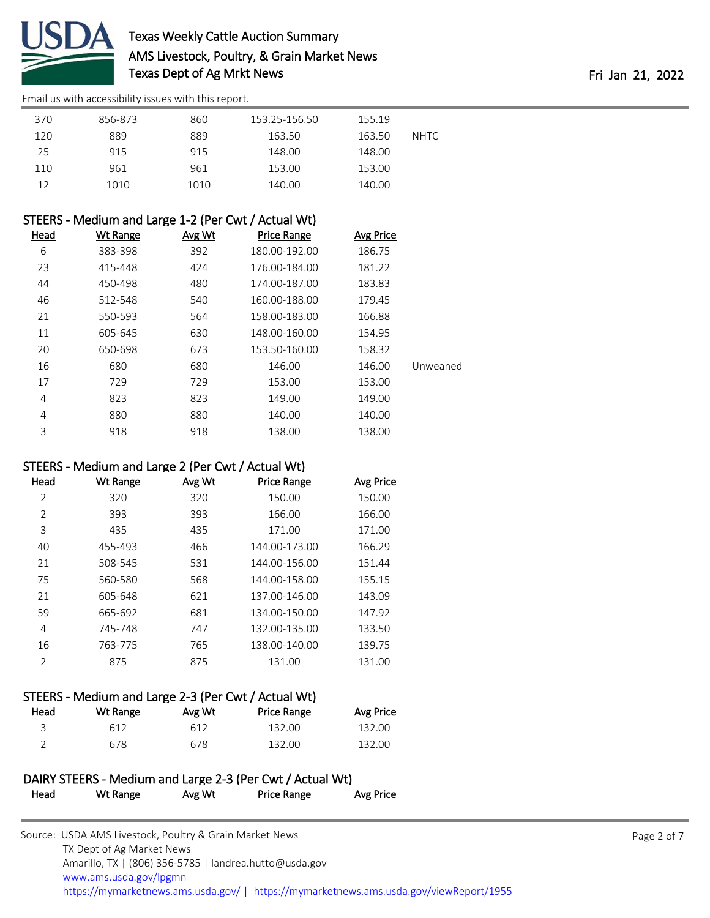

# Texas Weekly Cattle Auction Summary AMS Livestock, Poultry, & Grain Market News Texas Dept of Ag Mrkt News **Fri Jan 21, 2022**

[Email us with accessibility issues with this report.](mailto:mars@ams.usda.gov?subject=508%20issue)

| 370 | 856-873 | 860  | 153.25-156.50 | 155.19 |             |
|-----|---------|------|---------------|--------|-------------|
| 120 | 889     | 889  | 163.50        | 163.50 | <b>NHTC</b> |
| 25  | 915     | 915  | 148.00        | 148.00 |             |
| 110 | 961     | 961  | 153.00        | 153.00 |             |
| 12  | 1010    | 1010 | 140.00        | 140.00 |             |

### STEERS - Medium and Large 1-2 (Per Cwt / Actual Wt)

| Head           | Wt Range | Avg Wt | Price Range   | <b>Avg Price</b> |          |
|----------------|----------|--------|---------------|------------------|----------|
| 6              | 383-398  | 392    | 180.00-192.00 | 186.75           |          |
| 23             | 415-448  | 424    | 176.00-184.00 | 181.22           |          |
| 44             | 450-498  | 480    | 174.00-187.00 | 183.83           |          |
| 46             | 512-548  | 540    | 160.00-188.00 | 179.45           |          |
| 21             | 550-593  | 564    | 158.00-183.00 | 166.88           |          |
| 11             | 605-645  | 630    | 148.00-160.00 | 154.95           |          |
| 20             | 650-698  | 673    | 153.50-160.00 | 158.32           |          |
| 16             | 680      | 680    | 146.00        | 146.00           | Unweaned |
| 17             | 729      | 729    | 153.00        | 153.00           |          |
| 4              | 823      | 823    | 149.00        | 149.00           |          |
| $\overline{4}$ | 880      | 880    | 140.00        | 140.00           |          |
| 3              | 918      | 918    | 138.00        | 138.00           |          |

#### STEERS - Medium and Large 2 (Per Cwt / Actual Wt)

| Head           | Wt Range | Avg Wt | <b>Price Range</b> | Avg Price |
|----------------|----------|--------|--------------------|-----------|
| 2              | 320      | 320    | 150.00             | 150.00    |
| 2              | 393      | 393    | 166.00             | 166.00    |
| 3              | 435      | 435    | 171.00             | 171.00    |
| 40             | 455-493  | 466    | 144.00-173.00      | 166.29    |
| 21             | 508-545  | 531    | 144.00-156.00      | 151.44    |
| 75             | 560-580  | 568    | 144.00-158.00      | 155.15    |
| 21             | 605-648  | 621    | 137.00-146.00      | 143.09    |
| 59             | 665-692  | 681    | 134.00-150.00      | 147.92    |
| 4              | 745-748  | 747    | 132.00-135.00      | 133.50    |
| 16             | 763-775  | 765    | 138.00-140.00      | 139.75    |
| $\mathfrak{D}$ | 875      | 875    | 131.00             | 131.00    |
|                |          |        |                    |           |

# STEERS - Medium and Large 2-3 (Per Cwt / Actual Wt)

| <u>Head</u> | Wt Range | Avg Wt | Price Range | Avg Price |
|-------------|----------|--------|-------------|-----------|
|             | 612      | 612    | 132.00      | 132.00    |
|             | 678      | 678    | 132.00      | 132.00    |

#### DAIRY STEERS - Medium and Large 2-3 (Per Cwt / Actual Wt) Head Wt Range Avg Wt Price Range Avg Price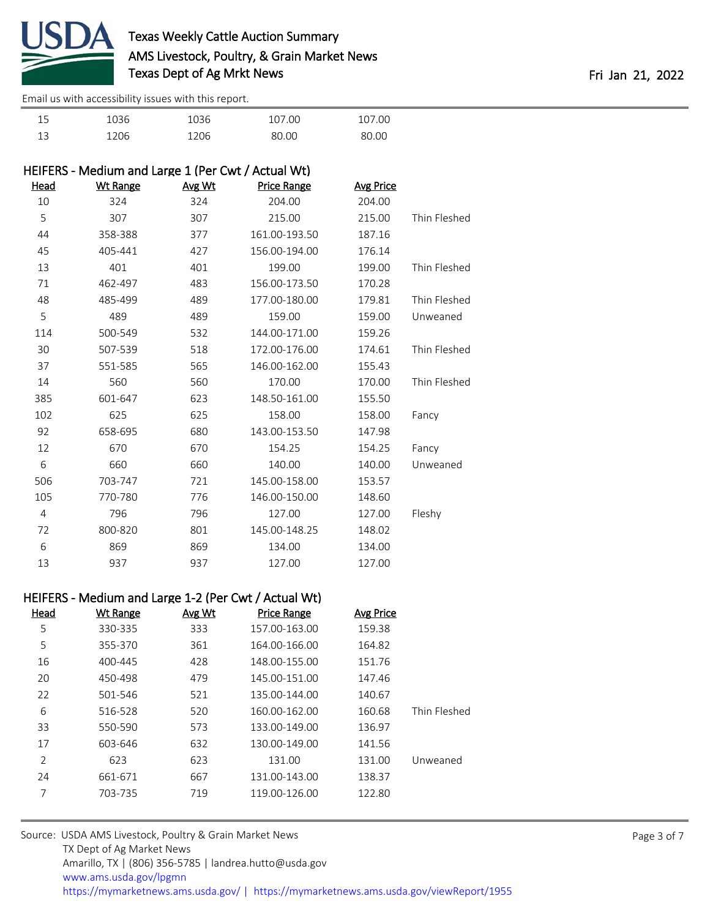

| 15       | 036  | 036  | 107.00 | .07.00 |
|----------|------|------|--------|--------|
| 13<br>⊥◡ | 1206 | 1206 | 20 UU  | ገ በር   |

| HEIFERS - Medium and Large 1 (Per Cwt / Actual Wt) |                 |        |                    |                  |              |
|----------------------------------------------------|-----------------|--------|--------------------|------------------|--------------|
| <u>Head</u>                                        | <b>Wt Range</b> | Avg Wt | <b>Price Range</b> | <b>Avg Price</b> |              |
| 10                                                 | 324             | 324    | 204.00             | 204.00           |              |
| 5                                                  | 307             | 307    | 215.00             | 215.00           | Thin Fleshed |
| 44                                                 | 358-388         | 377    | 161.00-193.50      | 187.16           |              |
| 45                                                 | 405-441         | 427    | 156.00-194.00      | 176.14           |              |
| 13                                                 | 401             | 401    | 199.00             | 199.00           | Thin Fleshed |
| 71                                                 | 462-497         | 483    | 156.00-173.50      | 170.28           |              |
| 48                                                 | 485-499         | 489    | 177.00-180.00      | 179.81           | Thin Fleshed |
| 5                                                  | 489             | 489    | 159.00             | 159.00           | Unweaned     |
| 114                                                | 500-549         | 532    | 144.00-171.00      | 159.26           |              |
| 30                                                 | 507-539         | 518    | 172.00-176.00      | 174.61           | Thin Fleshed |
| 37                                                 | 551-585         | 565    | 146.00-162.00      | 155.43           |              |
| 14                                                 | 560             | 560    | 170.00             | 170.00           | Thin Fleshed |
| 385                                                | 601-647         | 623    | 148.50-161.00      | 155.50           |              |
| 102                                                | 625             | 625    | 158.00             | 158.00           | Fancy        |
| 92                                                 | 658-695         | 680    | 143.00-153.50      | 147.98           |              |
| 12                                                 | 670             | 670    | 154.25             | 154.25           | Fancy        |
| 6                                                  | 660             | 660    | 140.00             | 140.00           | Unweaned     |
| 506                                                | 703-747         | 721    | 145.00-158.00      | 153.57           |              |
| 105                                                | 770-780         | 776    | 146.00-150.00      | 148.60           |              |
| $\overline{4}$                                     | 796             | 796    | 127.00             | 127.00           | Fleshy       |
| 72                                                 | 800-820         | 801    | 145.00-148.25      | 148.02           |              |
| 6                                                  | 869             | 869    | 134.00             | 134.00           |              |
| 13                                                 | 937             | 937    | 127.00             | 127.00           |              |

#### HEIFERS - Medium and Large 1-2 (Per Cwt / Actual Wt)

| Head | Wt Range | Avg Wt | <b>Price Range</b> | Avg Price |              |
|------|----------|--------|--------------------|-----------|--------------|
| 5    | 330-335  | 333    | 157.00-163.00      | 159.38    |              |
| 5    | 355-370  | 361    | 164.00-166.00      | 164.82    |              |
| 16   | 400-445  | 428    | 148.00-155.00      | 151.76    |              |
| 20   | 450-498  | 479    | 145.00-151.00      | 147.46    |              |
| 22   | 501-546  | 521    | 135.00-144.00      | 140.67    |              |
| 6    | 516-528  | 520    | 160.00-162.00      | 160.68    | Thin Fleshed |
| 33   | 550-590  | 573    | 133.00-149.00      | 136.97    |              |
| 17   | 603-646  | 632    | 130.00-149.00      | 141.56    |              |
| 2    | 623      | 623    | 131.00             | 131.00    | Unweaned     |
| 24   | 661-671  | 667    | 131.00-143.00      | 138.37    |              |
| 7    | 703-735  | 719    | 119.00-126.00      | 122.80    |              |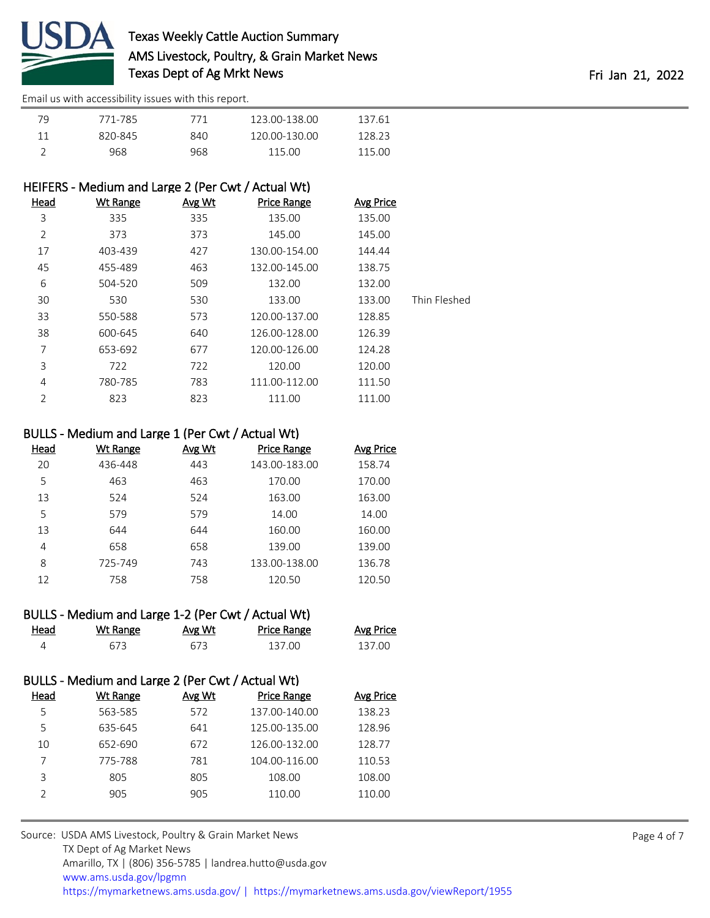

| 79 | 771-785 | 771 | 123.00-138.00 | 137.61 |  |
|----|---------|-----|---------------|--------|--|
|    | 820-845 | 840 | 120.00-130.00 | 128.23 |  |
|    | 968     | 968 | 115.00        | 115.00 |  |

## HEIFERS - Medium and Large 2 (Per Cwt / Actual Wt)

| Head           | <b>Wt Range</b> | Avg Wt | <b>Price Range</b> | <b>Avg Price</b> |              |
|----------------|-----------------|--------|--------------------|------------------|--------------|
| 3              | 335             | 335    | 135.00             | 135.00           |              |
| $\overline{2}$ | 373             | 373    | 145.00             | 145.00           |              |
| 17             | 403-439         | 427    | 130.00-154.00      | 144.44           |              |
| 45             | 455-489         | 463    | 132.00-145.00      | 138.75           |              |
| 6              | 504-520         | 509    | 132.00             | 132.00           |              |
| 30             | 530             | 530    | 133.00             | 133.00           | Thin Fleshed |
| 33             | 550-588         | 573    | 120.00-137.00      | 128.85           |              |
| 38             | 600-645         | 640    | 126.00-128.00      | 126.39           |              |
| 7              | 653-692         | 677    | 120.00-126.00      | 124.28           |              |
| 3              | 722             | 722    | 120.00             | 120.00           |              |
| 4              | 780-785         | 783    | 111.00-112.00      | 111.50           |              |
| $\overline{2}$ | 823             | 823    | 111.00             | 111.00           |              |
|                |                 |        |                    |                  |              |

#### BULLS - Medium and Large 1 (Per Cwt / Actual Wt)

| Head | Wt Range | Avg Wt | <b>Price Range</b> | <b>Avg Price</b> |
|------|----------|--------|--------------------|------------------|
| 20   | 436-448  | 443    | 143.00-183.00      | 158.74           |
| 5    | 463      | 463    | 170.00             | 170.00           |
| 13   | 524      | 524    | 163.00             | 163.00           |
| 5    | 579      | 579    | 14.00              | 14.00            |
| 13   | 644      | 644    | 160.00             | 160.00           |
| 4    | 658      | 658    | 139.00             | 139.00           |
| 8    | 725-749  | 743    | 133.00-138.00      | 136.78           |
| 12   | 758      | 758    | 120.50             | 120.50           |

|      | BULLS - Medium and Large 1-2 (Per Cwt / Actual Wt) |        |                    |           |
|------|----------------------------------------------------|--------|--------------------|-----------|
| Head | Wt Range                                           | Avg Wt | <b>Price Range</b> | Avg Price |

| $-$ | .            | .   | .    | . |
|-----|--------------|-----|------|---|
|     | $\prime\sim$ | --- | 7.OC |   |

# BULLS - Medium and Large 2 (Per Cwt / Actual Wt)

| Head | Wt Range | Avg Wt | <b>Price Range</b> | <b>Avg Price</b> |
|------|----------|--------|--------------------|------------------|
| 5    | 563-585  | 572    | 137.00-140.00      | 138.23           |
| 5    | 635-645  | 641    | 125.00-135.00      | 128.96           |
| 10   | 652-690  | 672    | 126.00-132.00      | 128.77           |
|      | 775-788  | 781    | 104.00-116.00      | 110.53           |
| ς    | 805      | 805    | 108.00             | 108.00           |
|      | 905      | 905    | 110.00             | 110.00           |
|      |          |        |                    |                  |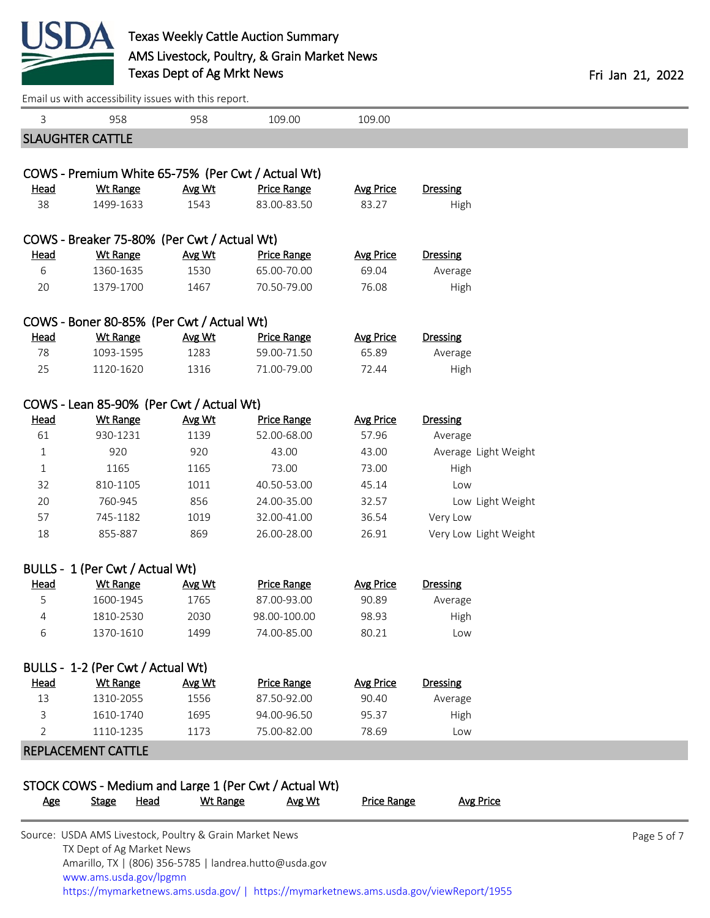

TX Dept of Ag Market News

Amarillo, TX | (806) 356-5785 | landrea.hutto@usda.gov

| 3           | 958                                                         | 958             | 109.00                                                | 109.00             |                            |             |
|-------------|-------------------------------------------------------------|-----------------|-------------------------------------------------------|--------------------|----------------------------|-------------|
|             | <b>SLAUGHTER CATTLE</b>                                     |                 |                                                       |                    |                            |             |
|             | COWS - Premium White 65-75% (Per Cwt / Actual Wt)           |                 |                                                       |                    |                            |             |
| <u>Head</u> | <b>Wt Range</b>                                             | Avg Wt          | <b>Price Range</b>                                    | <b>Avg Price</b>   | <b>Dressing</b>            |             |
| 38          | 1499-1633                                                   | 1543            | 83.00-83.50                                           | 83.27              | High                       |             |
|             |                                                             |                 |                                                       |                    |                            |             |
|             | COWS - Breaker 75-80% (Per Cwt / Actual Wt)                 |                 |                                                       |                    |                            |             |
| <u>Head</u> | <b>Wt Range</b>                                             | Avg Wt          | <b>Price Range</b>                                    | <b>Avg Price</b>   | <b>Dressing</b>            |             |
| 6           | 1360-1635                                                   | 1530            | 65.00-70.00                                           | 69.04              | Average                    |             |
| 20          | 1379-1700                                                   | 1467            | 70.50-79.00                                           | 76.08              | High                       |             |
|             | COWS - Boner 80-85% (Per Cwt / Actual Wt)                   |                 |                                                       |                    |                            |             |
| <b>Head</b> | <b>Wt Range</b>                                             | Avg Wt          | <b>Price Range</b>                                    | <b>Avg Price</b>   | <b>Dressing</b>            |             |
| 78          | 1093-1595                                                   | 1283            | 59.00-71.50                                           | 65.89              | Average                    |             |
| 25          | 1120-1620                                                   | 1316            | 71.00-79.00                                           | 72.44              | High                       |             |
|             |                                                             |                 |                                                       |                    |                            |             |
| <b>Head</b> | COWS - Lean 85-90% (Per Cwt / Actual Wt)<br><b>Wt Range</b> |                 | <b>Price Range</b>                                    | <b>Avg Price</b>   |                            |             |
| 61          | 930-1231                                                    | Avg Wt<br>1139  | 52.00-68.00                                           | 57.96              | <b>Dressing</b><br>Average |             |
| $\mathbf 1$ | 920                                                         | 920             | 43.00                                                 | 43.00              | Average Light Weight       |             |
| 1           | 1165                                                        | 1165            | 73.00                                                 | 73.00              | High                       |             |
| 32          | 810-1105                                                    | 1011            | 40.50-53.00                                           | 45.14              | Low                        |             |
| 20          | 760-945                                                     | 856             | 24.00-35.00                                           | 32.57              | Low Light Weight           |             |
| 57          | 745-1182                                                    | 1019            | 32.00-41.00                                           | 36.54              | Very Low                   |             |
| 18          | 855-887                                                     | 869             | 26.00-28.00                                           | 26.91              | Very Low Light Weight      |             |
|             |                                                             |                 |                                                       |                    |                            |             |
|             | BULLS - 1 (Per Cwt / Actual Wt)                             |                 |                                                       |                    |                            |             |
| <b>Head</b> | <b>Wt Range</b>                                             | Avg Wt          | <b>Price Range</b>                                    | <b>Avg Price</b>   | <b>Dressing</b>            |             |
| 5           | 1600-1945                                                   | 1765            | 87.00-93.00                                           | 90.89              | Average                    |             |
| 4           | 1810-2530                                                   | 2030            | 98.00-100.00                                          | 98.93              | High                       |             |
| 6           | 1370-1610                                                   | 1499            | 74.00-85.00                                           | 80.21              | Low                        |             |
|             | BULLS - 1-2 (Per Cwt / Actual Wt)                           |                 |                                                       |                    |                            |             |
| <b>Head</b> | <b>Wt Range</b>                                             | Avg Wt          | <b>Price Range</b>                                    | <b>Avg Price</b>   | <b>Dressing</b>            |             |
| 13          | 1310-2055                                                   | 1556            | 87.50-92.00                                           | 90.40              | Average                    |             |
| 3           | 1610-1740                                                   | 1695            | 94.00-96.50                                           | 95.37              | High                       |             |
| 2           | 1110-1235                                                   | 1173            | 75.00-82.00                                           | 78.69              | Low                        |             |
|             | REPLACEMENT CATTLE                                          |                 |                                                       |                    |                            |             |
|             |                                                             |                 |                                                       |                    |                            |             |
|             |                                                             |                 | STOCK COWS - Medium and Large 1 (Per Cwt / Actual Wt) |                    |                            |             |
| <u>Age</u>  | <b>Head</b><br><b>Stage</b>                                 | <b>Wt Range</b> | Avg Wt                                                | <b>Price Range</b> | <b>Avg Price</b>           |             |
|             | Source: USDA AMS Livestock, Poultry & Grain Market News     |                 |                                                       |                    |                            | Page 5 of 7 |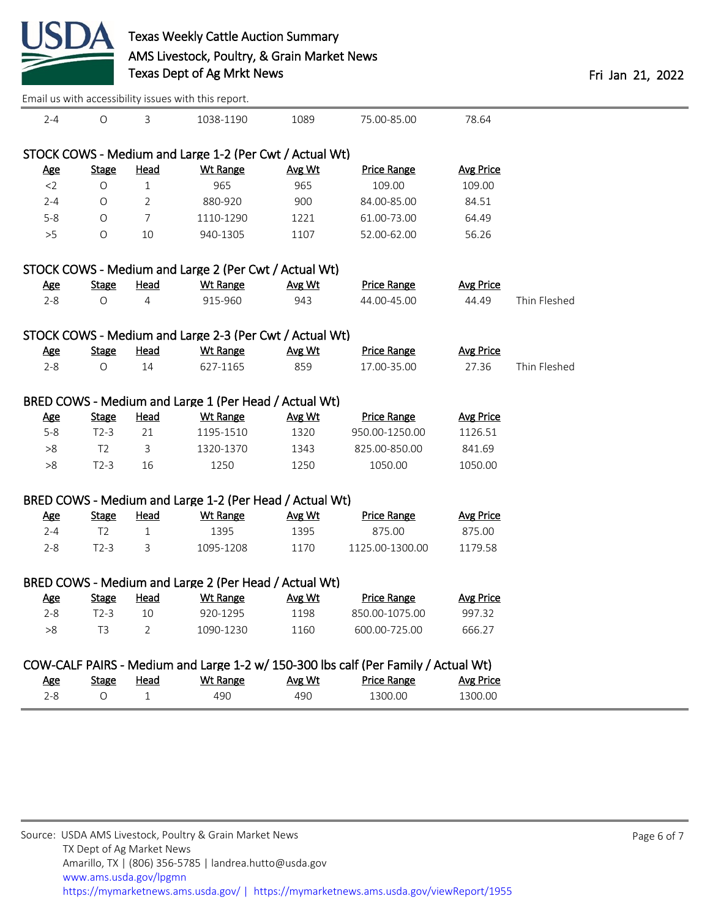

|            |                                                                                    |                | Email us with accessibility issues with this report.    |        |                    |                  |              |  |
|------------|------------------------------------------------------------------------------------|----------------|---------------------------------------------------------|--------|--------------------|------------------|--------------|--|
| $2 - 4$    | $\bigcirc$                                                                         | 3              | 1038-1190                                               | 1089   | 75.00-85.00        | 78.64            |              |  |
|            |                                                                                    |                | STOCK COWS - Medium and Large 1-2 (Per Cwt / Actual Wt) |        |                    |                  |              |  |
| <u>Age</u> | <b>Stage</b>                                                                       | <b>Head</b>    | <b>Wt Range</b>                                         | Avg Wt | <b>Price Range</b> | <b>Avg Price</b> |              |  |
| $<$ 2      | $\circ$                                                                            | $\mathbf{1}$   | 965                                                     | 965    | 109.00             | 109.00           |              |  |
| $2 - 4$    | O                                                                                  | $\overline{2}$ | 880-920                                                 | 900    | 84.00-85.00        | 84.51            |              |  |
| $5 - 8$    | O                                                                                  | 7              | 1110-1290                                               | 1221   | 61.00-73.00        | 64.49            |              |  |
| >5         | O                                                                                  | 10             | 940-1305                                                | 1107   | 52.00-62.00        | 56.26            |              |  |
|            |                                                                                    |                | STOCK COWS - Medium and Large 2 (Per Cwt / Actual Wt)   |        |                    |                  |              |  |
| <u>Age</u> | <b>Stage</b>                                                                       | <b>Head</b>    | <b>Wt Range</b>                                         | Avg Wt | <b>Price Range</b> | <b>Avg Price</b> |              |  |
| $2 - 8$    | O                                                                                  | 4              | 915-960                                                 | 943    | 44.00-45.00        | 44.49            | Thin Fleshed |  |
|            |                                                                                    |                | STOCK COWS - Medium and Large 2-3 (Per Cwt / Actual Wt) |        |                    |                  |              |  |
| <u>Age</u> | <b>Stage</b>                                                                       | <b>Head</b>    | <b>Wt Range</b>                                         | Avg Wt | <b>Price Range</b> | <b>Avg Price</b> |              |  |
| $2 - 8$    | O                                                                                  | 14             | 627-1165                                                | 859    | 17.00-35.00        | 27.36            | Thin Fleshed |  |
|            |                                                                                    |                | BRED COWS - Medium and Large 1 (Per Head / Actual Wt)   |        |                    |                  |              |  |
| <u>Age</u> | <b>Stage</b>                                                                       | <u>Head</u>    | Wt Range                                                | Avg Wt | <b>Price Range</b> | <b>Avg Price</b> |              |  |
| $5 - 8$    | $T2-3$                                                                             | 21             | 1195-1510                                               | 1320   | 950.00-1250.00     | 1126.51          |              |  |
| $>\!\!8$   | T <sub>2</sub>                                                                     | 3              | 1320-1370                                               | 1343   | 825.00-850.00      | 841.69           |              |  |
| >8         | $T2-3$                                                                             | 16             | 1250                                                    | 1250   | 1050.00            | 1050.00          |              |  |
|            |                                                                                    |                | BRED COWS - Medium and Large 1-2 (Per Head / Actual Wt) |        |                    |                  |              |  |
| <b>Age</b> | <b>Stage</b>                                                                       | <u>Head</u>    | <b>Wt Range</b>                                         | Avg Wt | <b>Price Range</b> | <b>Avg Price</b> |              |  |
| $2 - 4$    | T <sub>2</sub>                                                                     | $\mathbf{1}$   | 1395                                                    | 1395   | 875.00             | 875.00           |              |  |
| $2 - 8$    | $T2-3$                                                                             | 3              | 1095-1208                                               | 1170   | 1125.00-1300.00    | 1179.58          |              |  |
|            | BRED COWS - Medium and Large 2 (Per Head / Actual Wt)                              |                |                                                         |        |                    |                  |              |  |
| <b>Age</b> | <b>Stage</b>                                                                       | <b>Head</b>    | Wt Range                                                | Avg Wt | <b>Price Range</b> | <b>Avg Price</b> |              |  |
| $2 - 8$    | $T2-3$                                                                             | 10             | 920-1295                                                | 1198   | 850.00-1075.00     | 997.32           |              |  |
| >8         | T <sub>3</sub>                                                                     | 2              | 1090-1230                                               | 1160   | 600.00-725.00      | 666.27           |              |  |
|            | COW-CALF PAIRS - Medium and Large 1-2 w/ 150-300 lbs calf (Per Family / Actual Wt) |                |                                                         |        |                    |                  |              |  |
| <u>Age</u> | <b>Stage</b>                                                                       | <b>Head</b>    | <b>Wt Range</b>                                         | Avg Wt | <b>Price Range</b> | <b>Avg Price</b> |              |  |
| $2 - 8$    | $\bigcirc$                                                                         | $\mathbf 1$    | 490                                                     | 490    | 1300.00            | 1300.00          |              |  |